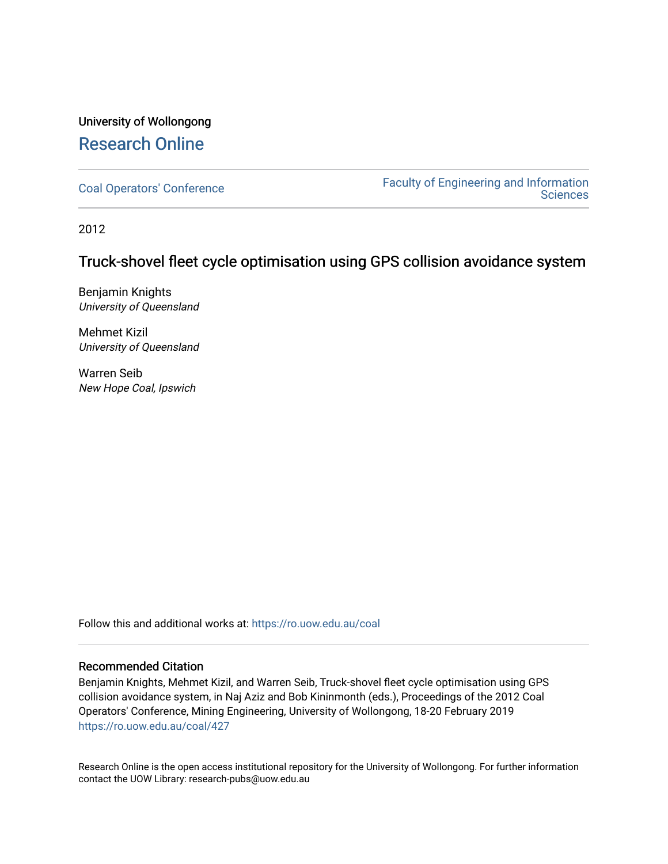# University of Wollongong [Research Online](https://ro.uow.edu.au/)

[Coal Operators' Conference](https://ro.uow.edu.au/coal) [Faculty of Engineering and Information](https://ro.uow.edu.au/eis)  **Sciences** 

2012

## Truck-shovel fleet cycle optimisation using GPS collision avoidance system

Benjamin Knights University of Queensland

Mehmet Kizil University of Queensland

Warren Seib New Hope Coal, Ipswich

Follow this and additional works at: [https://ro.uow.edu.au/coal](https://ro.uow.edu.au/coal?utm_source=ro.uow.edu.au%2Fcoal%2F427&utm_medium=PDF&utm_campaign=PDFCoverPages) 

#### Recommended Citation

Benjamin Knights, Mehmet Kizil, and Warren Seib, Truck-shovel fleet cycle optimisation using GPS collision avoidance system, in Naj Aziz and Bob Kininmonth (eds.), Proceedings of the 2012 Coal Operators' Conference, Mining Engineering, University of Wollongong, 18-20 February 2019 [https://ro.uow.edu.au/coal/427](https://ro.uow.edu.au/coal/427?utm_source=ro.uow.edu.au%2Fcoal%2F427&utm_medium=PDF&utm_campaign=PDFCoverPages) 

Research Online is the open access institutional repository for the University of Wollongong. For further information contact the UOW Library: research-pubs@uow.edu.au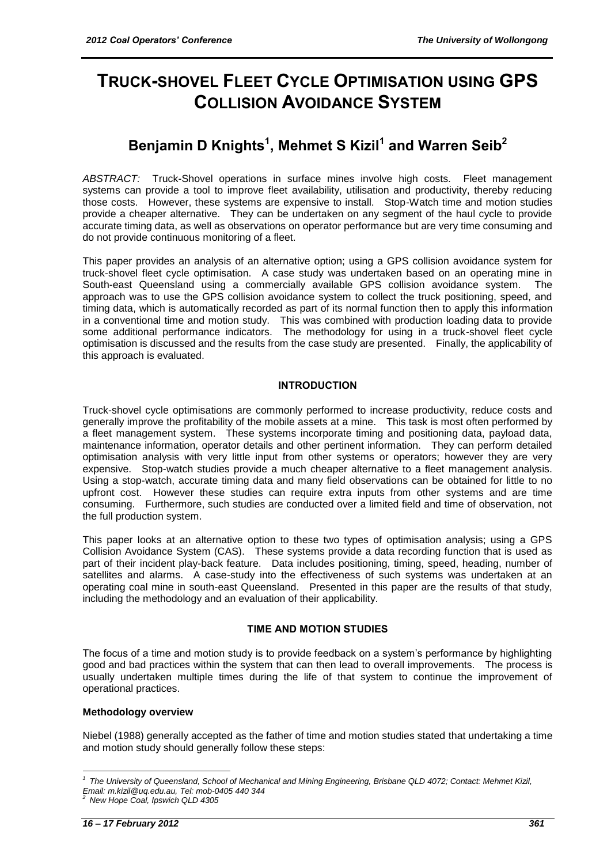# **TRUCK-SHOVEL FLEET CYCLE OPTIMISATION USING GPS COLLISION AVOIDANCE SYSTEM**

# **Benjamin D Knights<sup>1</sup> , Mehmet S Kizil<sup>1</sup> and Warren Seib<sup>2</sup>**

*ABSTRACT:* Truck-Shovel operations in surface mines involve high costs. Fleet management systems can provide a tool to improve fleet availability, utilisation and productivity, thereby reducing those costs. However, these systems are expensive to install. Stop-Watch time and motion studies provide a cheaper alternative. They can be undertaken on any segment of the haul cycle to provide accurate timing data, as well as observations on operator performance but are very time consuming and do not provide continuous monitoring of a fleet.

This paper provides an analysis of an alternative option; using a GPS collision avoidance system for truck-shovel fleet cycle optimisation. A case study was undertaken based on an operating mine in South-east Queensland using a commercially available GPS collision avoidance system. The approach was to use the GPS collision avoidance system to collect the truck positioning, speed, and timing data, which is automatically recorded as part of its normal function then to apply this information in a conventional time and motion study. This was combined with production loading data to provide some additional performance indicators. The methodology for using in a truck-shovel fleet cycle optimisation is discussed and the results from the case study are presented. Finally, the applicability of this approach is evaluated.

#### **INTRODUCTION**

Truck-shovel cycle optimisations are commonly performed to increase productivity, reduce costs and generally improve the profitability of the mobile assets at a mine. This task is most often performed by a fleet management system. These systems incorporate timing and positioning data, payload data, maintenance information, operator details and other pertinent information. They can perform detailed optimisation analysis with very little input from other systems or operators; however they are very expensive. Stop-watch studies provide a much cheaper alternative to a fleet management analysis. Using a stop-watch, accurate timing data and many field observations can be obtained for little to no upfront cost. However these studies can require extra inputs from other systems and are time consuming. Furthermore, such studies are conducted over a limited field and time of observation, not the full production system.

This paper looks at an alternative option to these two types of optimisation analysis; using a GPS Collision Avoidance System (CAS). These systems provide a data recording function that is used as part of their incident play-back feature. Data includes positioning, timing, speed, heading, number of satellites and alarms. A case-study into the effectiveness of such systems was undertaken at an operating coal mine in south-east Queensland. Presented in this paper are the results of that study, including the methodology and an evaluation of their applicability.

#### **TIME AND MOTION STUDIES**

The focus of a time and motion study is to provide feedback on a system"s performance by highlighting good and bad practices within the system that can then lead to overall improvements. The process is usually undertaken multiple times during the life of that system to continue the improvement of operational practices.

#### **Methodology overview**

Niebel (1988) generally accepted as the father of time and motion studies stated that undertaking a time and motion study should generally follow these steps:

l

*<sup>1</sup> The University of Queensland, School of Mechanical and Mining Engineering, Brisbane QLD 4072; Contact: Mehmet Kizil, Email: m.kizil@uq.edu.au, Tel: mob-0405 440 344*

*<sup>2</sup> New Hope Coal, Ipswich QLD 4305*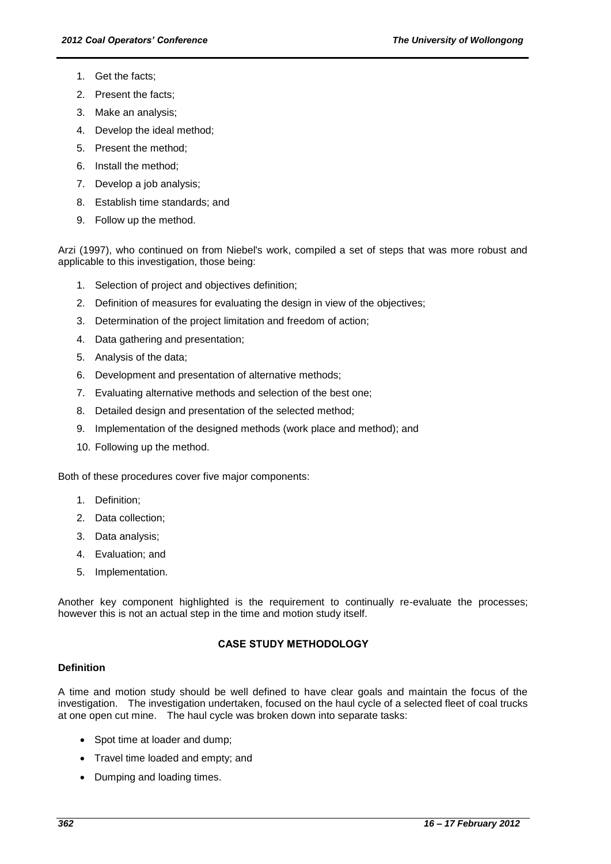- 1. Get the facts;
- 2. Present the facts;
- 3. Make an analysis;
- 4. Develop the ideal method;
- 5. Present the method;
- 6. Install the method;
- 7. Develop a job analysis;
- 8. Establish time standards; and
- 9. Follow up the method.

Arzi (1997), who continued on from Niebel's work, compiled a set of steps that was more robust and applicable to this investigation, those being:

- 1. Selection of project and objectives definition;
- 2. Definition of measures for evaluating the design in view of the objectives;
- 3. Determination of the project limitation and freedom of action;
- 4. Data gathering and presentation;
- 5. Analysis of the data;
- 6. Development and presentation of alternative methods;
- 7. Evaluating alternative methods and selection of the best one;
- 8. Detailed design and presentation of the selected method;
- 9. Implementation of the designed methods (work place and method); and
- 10. Following up the method.

Both of these procedures cover five major components:

- 1. Definition;
- 2. Data collection;
- 3. Data analysis;
- 4. Evaluation; and
- 5. Implementation.

Another key component highlighted is the requirement to continually re-evaluate the processes; however this is not an actual step in the time and motion study itself.

### **CASE STUDY METHODOLOGY**

#### **Definition**

A time and motion study should be well defined to have clear goals and maintain the focus of the investigation. The investigation undertaken, focused on the haul cycle of a selected fleet of coal trucks at one open cut mine. The haul cycle was broken down into separate tasks:

- Spot time at loader and dump;
- Travel time loaded and empty: and
- Dumping and loading times.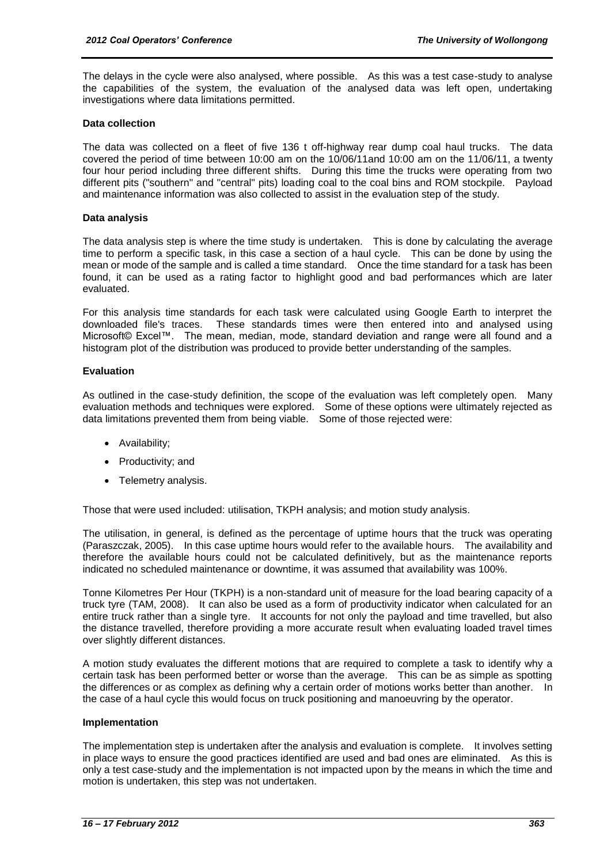The delays in the cycle were also analysed, where possible. As this was a test case-study to analyse the capabilities of the system, the evaluation of the analysed data was left open, undertaking investigations where data limitations permitted.

#### **Data collection**

The data was collected on a fleet of five 136 t off-highway rear dump coal haul trucks. The data covered the period of time between 10:00 am on the 10/06/11and 10:00 am on the 11/06/11, a twenty four hour period including three different shifts. During this time the trucks were operating from two different pits ("southern" and "central" pits) loading coal to the coal bins and ROM stockpile. Payload and maintenance information was also collected to assist in the evaluation step of the study.

#### **Data analysis**

The data analysis step is where the time study is undertaken. This is done by calculating the average time to perform a specific task, in this case a section of a haul cycle. This can be done by using the mean or mode of the sample and is called a time standard. Once the time standard for a task has been found, it can be used as a rating factor to highlight good and bad performances which are later evaluated.

For this analysis time standards for each task were calculated using Google Earth to interpret the downloaded file's traces. These standards times were then entered into and analysed using Microsoft© Excel™. The mean, median, mode, standard deviation and range were all found and a histogram plot of the distribution was produced to provide better understanding of the samples.

#### **Evaluation**

As outlined in the case-study definition, the scope of the evaluation was left completely open. Many evaluation methods and techniques were explored. Some of these options were ultimately rejected as data limitations prevented them from being viable. Some of those rejected were:

- Availability;
- Productivity; and
- Telemetry analysis.

Those that were used included: utilisation, TKPH analysis; and motion study analysis.

The utilisation, in general, is defined as the percentage of uptime hours that the truck was operating (Paraszczak, 2005). In this case uptime hours would refer to the available hours. The availability and therefore the available hours could not be calculated definitively, but as the maintenance reports indicated no scheduled maintenance or downtime, it was assumed that availability was 100%.

Tonne Kilometres Per Hour (TKPH) is a non-standard unit of measure for the load bearing capacity of a truck tyre (TAM, 2008). It can also be used as a form of productivity indicator when calculated for an entire truck rather than a single tyre. It accounts for not only the payload and time travelled, but also the distance travelled, therefore providing a more accurate result when evaluating loaded travel times over slightly different distances.

A motion study evaluates the different motions that are required to complete a task to identify why a certain task has been performed better or worse than the average. This can be as simple as spotting the differences or as complex as defining why a certain order of motions works better than another. In the case of a haul cycle this would focus on truck positioning and manoeuvring by the operator.

#### **Implementation**

The implementation step is undertaken after the analysis and evaluation is complete. It involves setting in place ways to ensure the good practices identified are used and bad ones are eliminated. As this is only a test case-study and the implementation is not impacted upon by the means in which the time and motion is undertaken, this step was not undertaken.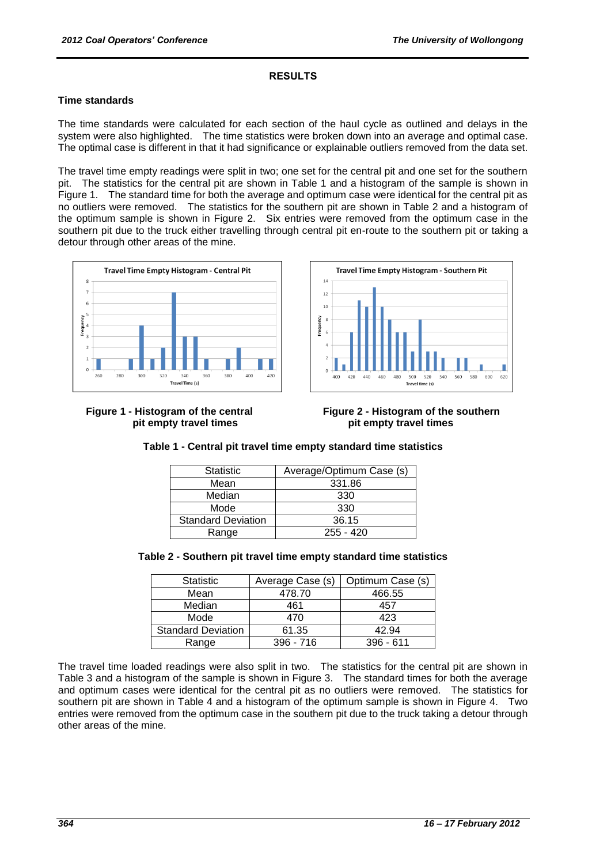#### **RESULTS**

#### **Time standards**

The time standards were calculated for each section of the haul cycle as outlined and delays in the system were also highlighted. The time statistics were broken down into an average and optimal case. The optimal case is different in that it had significance or explainable outliers removed from the data set.

The travel time empty readings were split in two; one set for the central pit and one set for the southern pit. The statistics for the central pit are shown in Table 1 and a histogram of the sample is shown in Figure 1. The standard time for both the average and optimum case were identical for the central pit as no outliers were removed. The statistics for the southern pit are shown in Table 2 and a histogram of the optimum sample is shown in Figure 2. Six entries were removed from the optimum case in the southern pit due to the truck either travelling through central pit en-route to the southern pit or taking a detour through other areas of the mine.







#### **Table 1 - Central pit travel time empty standard time statistics**

| <b>Statistic</b>          | Average/Optimum Case (s) |
|---------------------------|--------------------------|
| Mean                      | 331.86                   |
| Median                    | 330                      |
| Mode                      | 330                      |
| <b>Standard Deviation</b> | 36.15                    |
| Range                     | $255 - 420$              |

#### **Table 2 - Southern pit travel time empty standard time statistics**

| <b>Statistic</b>          | Average Case (s) | Optimum Case (s) |
|---------------------------|------------------|------------------|
| Mean                      | 478.70           | 466.55           |
| Median                    | 461              | 457              |
| Mode                      | 470              | 423              |
| <b>Standard Deviation</b> | 61.35            | 42.94            |
| Range                     | $396 - 716$      | $396 - 611$      |

The travel time loaded readings were also split in two. The statistics for the central pit are shown in Table 3 and a histogram of the sample is shown in Figure 3. The standard times for both the average and optimum cases were identical for the central pit as no outliers were removed. The statistics for southern pit are shown in Table 4 and a histogram of the optimum sample is shown in Figure 4. Two entries were removed from the optimum case in the southern pit due to the truck taking a detour through other areas of the mine.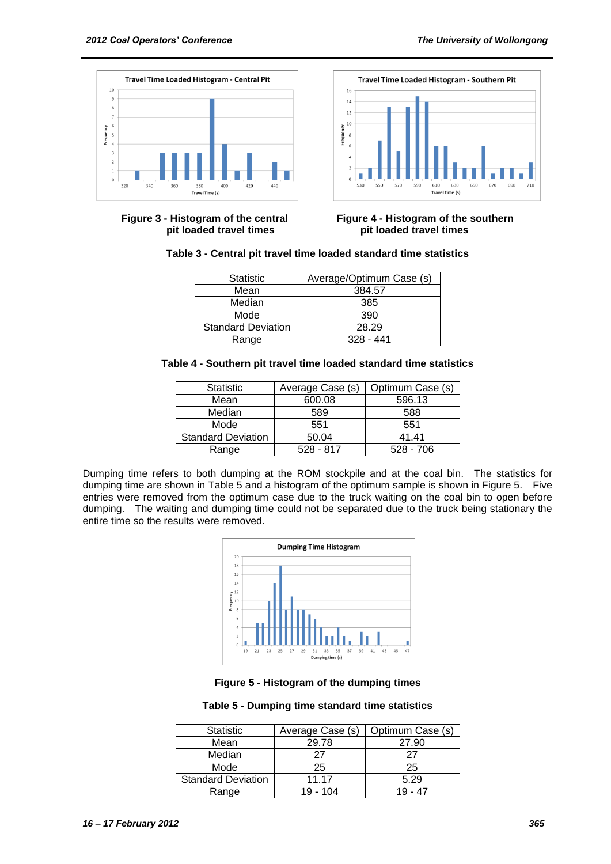



**Figure 3 - Histogram of the central Figure 4 - Histogram of the southern pit loaded travel times pit loaded travel times**

|  |  | Table 3 - Central pit travel time loaded standard time statistics |  |
|--|--|-------------------------------------------------------------------|--|
|--|--|-------------------------------------------------------------------|--|

| <b>Statistic</b>          | Average/Optimum Case (s) |
|---------------------------|--------------------------|
| Mean                      | 384.57                   |
| Median                    | 385                      |
| Mode                      | 390                      |
| <b>Standard Deviation</b> | 28.29                    |
| Range                     | $328 - 441$              |

| Table 4 - Southern pit travel time loaded standard time statistics |
|--------------------------------------------------------------------|
|--------------------------------------------------------------------|

| <b>Statistic</b>          | Average Case (s) | Optimum Case (s) |
|---------------------------|------------------|------------------|
| Mean                      | 600.08           | 596.13           |
| Median                    | 589              | 588              |
| Mode                      | 551              | 551              |
| <b>Standard Deviation</b> | 50.04            | 41.41            |
| Range                     | $528 - 817$      | $528 - 706$      |

Dumping time refers to both dumping at the ROM stockpile and at the coal bin. The statistics for dumping time are shown in Table 5 and a histogram of the optimum sample is shown in Figure 5. Five entries were removed from the optimum case due to the truck waiting on the coal bin to open before dumping. The waiting and dumping time could not be separated due to the truck being stationary the entire time so the results were removed.



**Figure 5 - Histogram of the dumping times**

#### **Table 5 - Dumping time standard time statistics**

| <b>Statistic</b>          | Average Case (s) | Optimum Case (s) |
|---------------------------|------------------|------------------|
| Mean                      | 29.78            | 27.90            |
| Median                    |                  | 27               |
| Mode                      | 25               | 25               |
| <b>Standard Deviation</b> | 11 17            | 5.29             |
| Range                     | 19 - 104         | - 47             |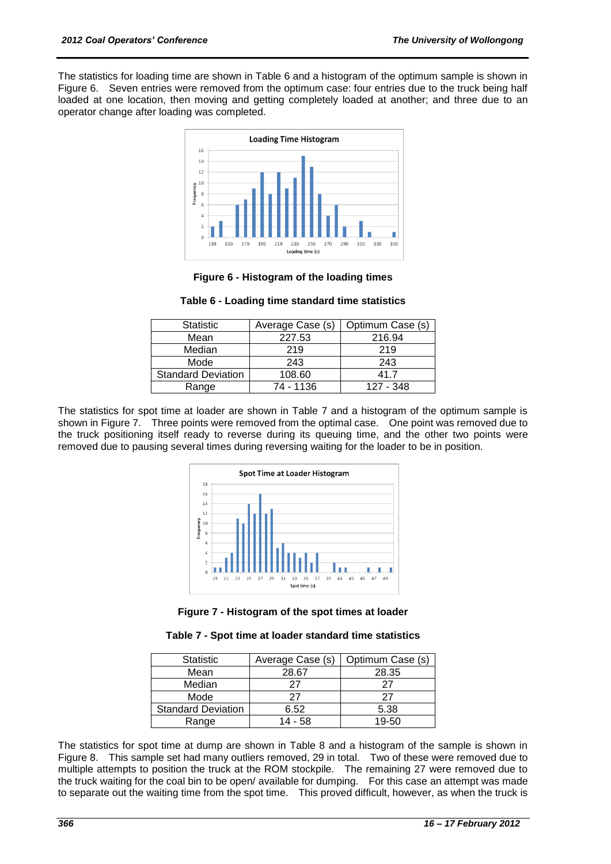The statistics for loading time are shown in Table 6 and a histogram of the optimum sample is shown in Figure 6. Seven entries were removed from the optimum case: four entries due to the truck being half loaded at one location, then moving and getting completely loaded at another; and three due to an operator change after loading was completed.



**Figure 6 - Histogram of the loading times**

| <b>Statistic</b>          | Average Case (s) | Optimum Case (s) |
|---------------------------|------------------|------------------|
| Mean                      | 227.53           | 216.94           |
| Median                    | 219              | 219              |
| Mode                      | 243              | 243              |
| <b>Standard Deviation</b> | 108.60           | 41 7             |
| Range                     | 74 - 1136        | 127 - 348        |

**Table 6 - Loading time standard time statistics**

The statistics for spot time at loader are shown in Table 7 and a histogram of the optimum sample is shown in Figure 7. Three points were removed from the optimal case. One point was removed due to the truck positioning itself ready to reverse during its queuing time, and the other two points were removed due to pausing several times during reversing waiting for the loader to be in position.





|  |  |  |  |  | Table 7 - Spot time at loader standard time statistics |
|--|--|--|--|--|--------------------------------------------------------|
|--|--|--|--|--|--------------------------------------------------------|

| <b>Statistic</b>          | Average Case (s) | Optimum Case (s) |
|---------------------------|------------------|------------------|
| Mean                      | 28.67            | 28.35            |
| Median                    | 27               | 27               |
| Mode                      | 27               | 27               |
| <b>Standard Deviation</b> | 6.52             | 5.38             |
| Range                     | 14 - 58          | 19-50            |

The statistics for spot time at dump are shown in Table 8 and a histogram of the sample is shown in Figure 8. This sample set had many outliers removed, 29 in total. Two of these were removed due to multiple attempts to position the truck at the ROM stockpile. The remaining 27 were removed due to the truck waiting for the coal bin to be open/ available for dumping. For this case an attempt was made to separate out the waiting time from the spot time. This proved difficult, however, as when the truck is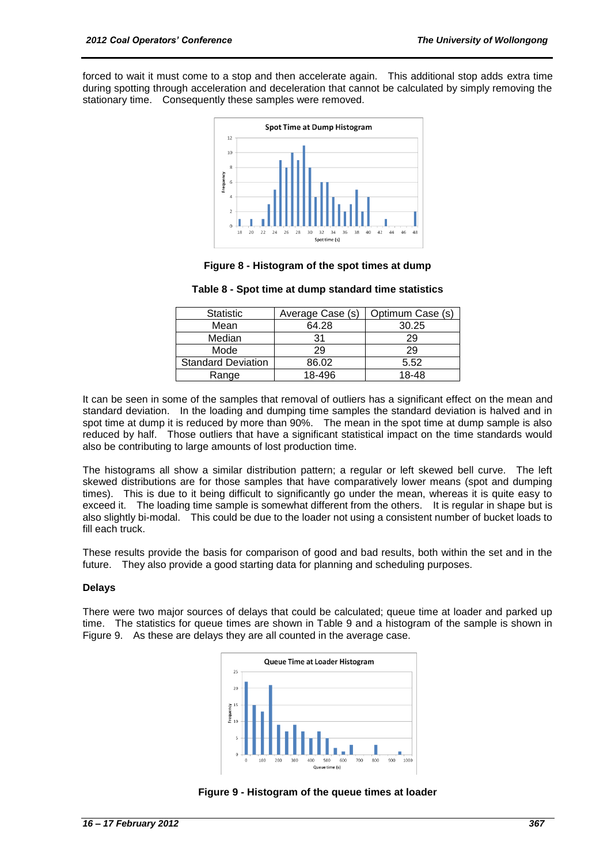forced to wait it must come to a stop and then accelerate again. This additional stop adds extra time during spotting through acceleration and deceleration that cannot be calculated by simply removing the stationary time. Consequently these samples were removed.



#### **Figure 8 - Histogram of the spot times at dump**

| Table 8 - Spot time at dump standard time statistics |  |  |  |  |  |
|------------------------------------------------------|--|--|--|--|--|
|------------------------------------------------------|--|--|--|--|--|

| <b>Statistic</b>          | Average Case (s) | Optimum Case (s) |
|---------------------------|------------------|------------------|
| Mean                      | 64.28            | 30.25            |
| Median                    | 31               | 29               |
| Mode                      | 29               | 29               |
| <b>Standard Deviation</b> | 86.02            | 5.52             |
| Range                     | 18-496           | 18-48            |

It can be seen in some of the samples that removal of outliers has a significant effect on the mean and standard deviation. In the loading and dumping time samples the standard deviation is halved and in spot time at dump it is reduced by more than 90%. The mean in the spot time at dump sample is also reduced by half. Those outliers that have a significant statistical impact on the time standards would also be contributing to large amounts of lost production time.

The histograms all show a similar distribution pattern; a regular or left skewed bell curve. The left skewed distributions are for those samples that have comparatively lower means (spot and dumping times). This is due to it being difficult to significantly go under the mean, whereas it is quite easy to exceed it. The loading time sample is somewhat different from the others. It is regular in shape but is also slightly bi-modal. This could be due to the loader not using a consistent number of bucket loads to fill each truck.

These results provide the basis for comparison of good and bad results, both within the set and in the future. They also provide a good starting data for planning and scheduling purposes.

#### **Delays**

There were two major sources of delays that could be calculated; queue time at loader and parked up time. The statistics for queue times are shown in Table 9 and a histogram of the sample is shown in Figure 9. As these are delays they are all counted in the average case.



**Figure 9 - Histogram of the queue times at loader**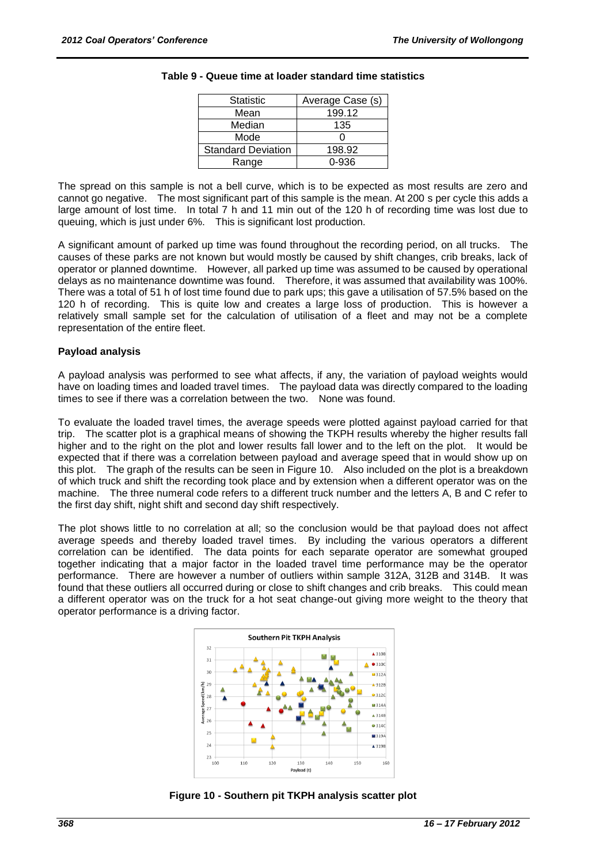| <b>Statistic</b>          | Average Case (s) |
|---------------------------|------------------|
| Mean                      | 199.12           |
| Median                    | 135              |
| Mode                      |                  |
| <b>Standard Deviation</b> | 198.92           |
| Range                     | )-936            |

#### **Table 9 - Queue time at loader standard time statistics**

The spread on this sample is not a bell curve, which is to be expected as most results are zero and cannot go negative. The most significant part of this sample is the mean. At 200 s per cycle this adds a large amount of lost time. In total 7 h and 11 min out of the 120 h of recording time was lost due to queuing, which is just under 6%. This is significant lost production.

A significant amount of parked up time was found throughout the recording period, on all trucks. The causes of these parks are not known but would mostly be caused by shift changes, crib breaks, lack of operator or planned downtime. However, all parked up time was assumed to be caused by operational delays as no maintenance downtime was found. Therefore, it was assumed that availability was 100%. There was a total of 51 h of lost time found due to park ups; this gave a utilisation of 57.5% based on the 120 h of recording. This is quite low and creates a large loss of production. This is however a relatively small sample set for the calculation of utilisation of a fleet and may not be a complete representation of the entire fleet.

#### **Payload analysis**

A payload analysis was performed to see what affects, if any, the variation of payload weights would have on loading times and loaded travel times. The payload data was directly compared to the loading times to see if there was a correlation between the two. None was found.

To evaluate the loaded travel times, the average speeds were plotted against payload carried for that trip. The scatter plot is a graphical means of showing the TKPH results whereby the higher results fall higher and to the right on the plot and lower results fall lower and to the left on the plot. It would be expected that if there was a correlation between payload and average speed that in would show up on this plot. The graph of the results can be seen in Figure 10. Also included on the plot is a breakdown of which truck and shift the recording took place and by extension when a different operator was on the machine. The three numeral code refers to a different truck number and the letters A, B and C refer to the first day shift, night shift and second day shift respectively.

The plot shows little to no correlation at all; so the conclusion would be that payload does not affect average speeds and thereby loaded travel times. By including the various operators a different correlation can be identified. The data points for each separate operator are somewhat grouped together indicating that a major factor in the loaded travel time performance may be the operator performance. There are however a number of outliers within sample 312A, 312B and 314B. It was found that these outliers all occurred during or close to shift changes and crib breaks. This could mean a different operator was on the truck for a hot seat change-out giving more weight to the theory that operator performance is a driving factor.



**Figure 10 - Southern pit TKPH analysis scatter plot**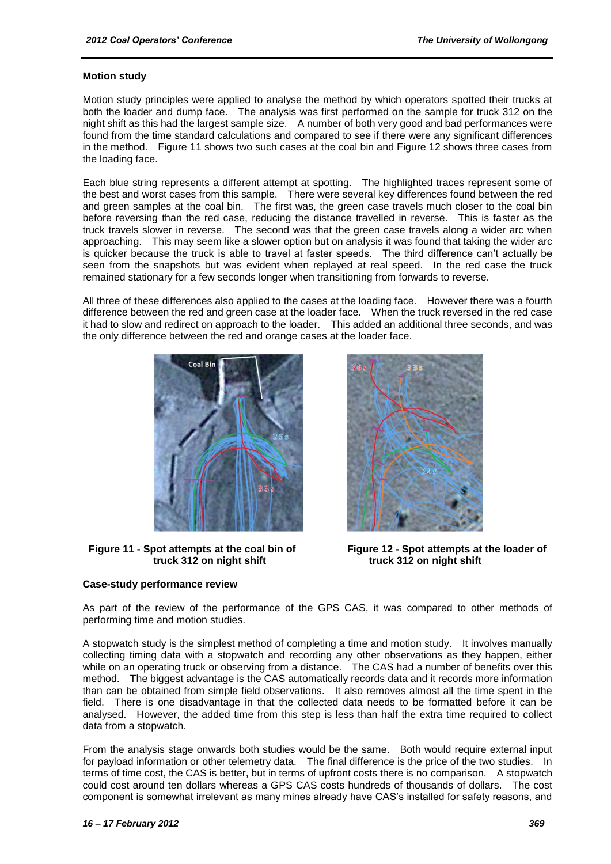#### **Motion study**

Motion study principles were applied to analyse the method by which operators spotted their trucks at both the loader and dump face. The analysis was first performed on the sample for truck 312 on the night shift as this had the largest sample size. A number of both very good and bad performances were found from the time standard calculations and compared to see if there were any significant differences in the method. Figure 11 shows two such cases at the coal bin and Figure 12 shows three cases from the loading face.

Each blue string represents a different attempt at spotting. The highlighted traces represent some of the best and worst cases from this sample. There were several key differences found between the red and green samples at the coal bin. The first was, the green case travels much closer to the coal bin before reversing than the red case, reducing the distance travelled in reverse. This is faster as the truck travels slower in reverse. The second was that the green case travels along a wider arc when approaching. This may seem like a slower option but on analysis it was found that taking the wider arc is quicker because the truck is able to travel at faster speeds. The third difference can"t actually be seen from the snapshots but was evident when replayed at real speed. In the red case the truck remained stationary for a few seconds longer when transitioning from forwards to reverse.

All three of these differences also applied to the cases at the loading face. However there was a fourth difference between the red and green case at the loader face. When the truck reversed in the red case it had to slow and redirect on approach to the loader. This added an additional three seconds, and was the only difference between the red and orange cases at the loader face.



**Figure 11 - Spot attempts at the coal bin of Figure 12 - Spot attempts at the loader of**  truck 312 on night shift truck 312 on night shift

#### **Case-study performance review**



As part of the review of the performance of the GPS CAS, it was compared to other methods of performing time and motion studies.

A stopwatch study is the simplest method of completing a time and motion study. It involves manually collecting timing data with a stopwatch and recording any other observations as they happen, either while on an operating truck or observing from a distance. The CAS had a number of benefits over this method. The biggest advantage is the CAS automatically records data and it records more information than can be obtained from simple field observations. It also removes almost all the time spent in the field. There is one disadvantage in that the collected data needs to be formatted before it can be analysed. However, the added time from this step is less than half the extra time required to collect data from a stopwatch.

From the analysis stage onwards both studies would be the same. Both would require external input for payload information or other telemetry data. The final difference is the price of the two studies. In terms of time cost, the CAS is better, but in terms of upfront costs there is no comparison. A stopwatch could cost around ten dollars whereas a GPS CAS costs hundreds of thousands of dollars. The cost component is somewhat irrelevant as many mines already have CAS"s installed for safety reasons, and